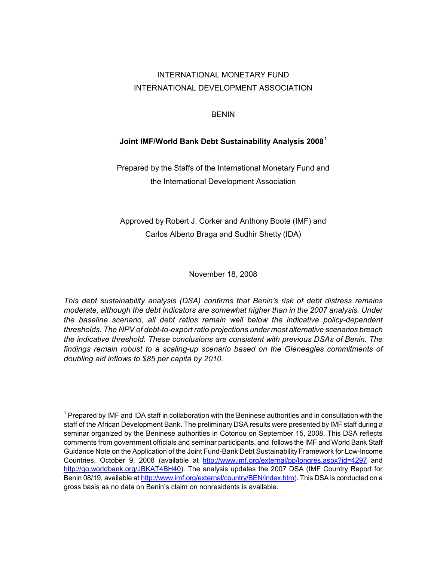# <span id="page-0-0"></span>INTERNATIONAL MONETARY FUND INTERNATIONAL DEVELOPMENT ASSOCIATION

### BENIN

### **Joint IMF/World Bank Debt Sustainability Analysis 2008**[1](#page-0-0)

Prepared by the Staffs of the International Monetary Fund and the International Development Association

Approved by Robert J. Corker and Anthony Boote (IMF) and Carlos Alberto Braga and Sudhir Shetty (IDA)

November 18, 2008

*This debt sustainability analysis (DSA) confirms that Benin's risk of debt distress remains moderate, although the debt indicators are somewhat higher than in the 2007 analysis. Under the baseline scenario, all debt ratios remain well below the indicative policy-dependent thresholds. The NPV of debt-to-export ratio projections under most alternative scenarios breach the indicative threshold. These conclusions are consistent with previous DSAs of Benin. The*  findings remain robust to a scaling-up scenario based on the Gleneagles commitments of *doubling aid inflows to \$85 per capita by 2010.* 

 $1$  Prepared by IMF and IDA staff in collaboration with the Beninese authorities and in consultation with the staff of the African Development Bank. The preliminary DSA results were presented by IMF staff during a seminar organized by the Beninese authorities in Cotonou on September 15, 2008. This DSA reflects comments from government officials and seminar participants, and follows the IMF and World Bank Staff Guidance Note on the Application of the Joint Fund-Bank Debt Sustainability Framework for Low-Income Countries, October 9, 2008 (available at http://www.imf.org/external/pp/longres.aspx?id=4297 and http://go.worldbank.org/JBKAT4BH40). The analysis updates the 2007 DSA (IMF Country Report for Benin 08/19, available at http://www.imf.org/external/country/BEN/index.htm). This DSA is conducted on a gross basis as no data on Benin's claim on nonresidents is available.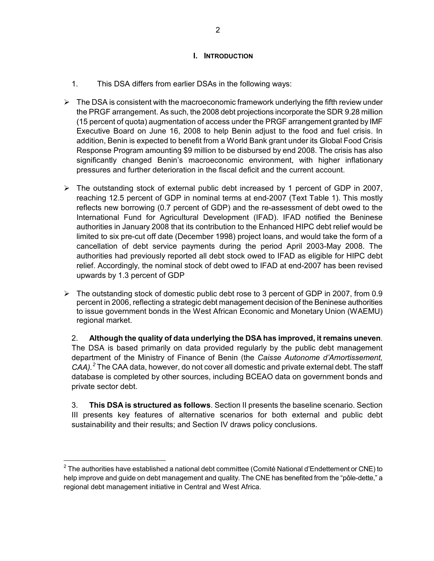#### **I. INTRODUCTION**

- <span id="page-1-0"></span>1. This DSA differs from earlier DSAs in the following ways:
- $\triangleright$  The DSA is consistent with the macroeconomic framework underlying the fifth review under the PRGF arrangement. As such, the 2008 debt projections incorporate the SDR 9.28 million (15 percent of quota) augmentation of access under the PRGF arrangement granted by IMF Executive Board on June 16, 2008 to help Benin adjust to the food and fuel crisis. In addition, Benin is expected to benefit from a World Bank grant under its Global Food Crisis Response Program amounting \$9 million to be disbursed by end 2008. The crisis has also significantly changed Benin's macroeconomic environment, with higher inflationary pressures and further deterioration in the fiscal deficit and the current account.
- $\triangleright$  The outstanding stock of external public debt increased by 1 percent of GDP in 2007, reaching 12.5 percent of GDP in nominal terms at end-2007 (Text Table 1). This mostly reflects new borrowing (0.7 percent of GDP) and the re-assessment of debt owed to the International Fund for Agricultural Development (IFAD). IFAD notified the Beninese authorities in January 2008 that its contribution to the Enhanced HIPC debt relief would be limited to six pre-cut off date (December 1998) project loans, and would take the form of a cancellation of debt service payments during the period April 2003-May 2008. The authorities had previously reported all debt stock owed to IFAD as eligible for HIPC debt relief. Accordingly, the nominal stock of debt owed to IFAD at end-2007 has been revised upwards by 1.3 percent of GDP
- $\triangleright$  The outstanding stock of domestic public debt rose to 3 percent of GDP in 2007, from 0.9 percent in 2006, reflecting a strategic debt management decision of the Beninese authorities to issue government bonds in the West African Economic and Monetary Union (WAEMU) regional market.

2. **Although the quality of data underlying the DSA has improved, it remains uneven**. The DSA is based primarily on data provided regularly by the public debt management department of the Ministry of Finance of Benin (the *Caisse Autonome d'Amortissement, CAA).[2](#page-1-0)* The CAA data, however, do not cover all domestic and private external debt. The staff database is completed by other sources, including BCEAO data on government bonds and private sector debt.

3. **This DSA is structured as follows**. Section II presents the baseline scenario. Section III presents key features of alternative scenarios for both external and public debt sustainability and their results; and Section IV draws policy conclusions.

-

 $^{\text{2}}$  The authorities have established a national debt committee (Comité National d'Endettement or CNE) to help improve and guide on debt management and quality. The CNE has benefited from the "pôle-dette," a regional debt management initiative in Central and West Africa.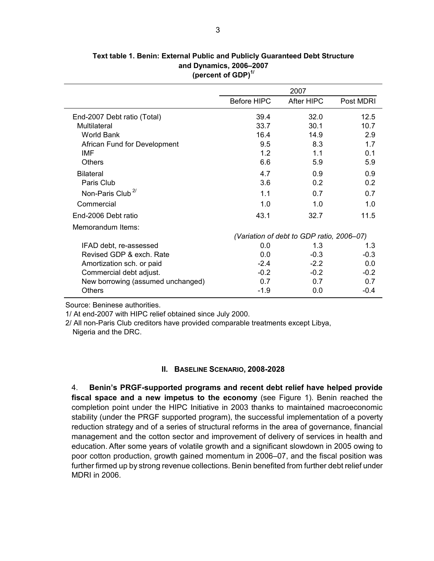|                                   |             | 2007                                      |           |
|-----------------------------------|-------------|-------------------------------------------|-----------|
|                                   | Before HIPC | After HIPC                                | Post MDRI |
| End-2007 Debt ratio (Total)       | 39.4        | 32.0                                      | 12.5      |
| Multilateral                      | 33.7        | 30.1                                      | 10.7      |
| <b>World Bank</b>                 | 16.4        | 14.9                                      | 2.9       |
| African Fund for Development      | 9.5         | 8.3                                       | 1.7       |
| IMF                               | 1.2         | 1.1                                       | 0.1       |
| <b>Others</b>                     | 6.6         | 5.9                                       | 5.9       |
| <b>Bilateral</b>                  | 4.7         | 0.9                                       | 0.9       |
| Paris Club                        | 3.6         | 0.2                                       | 0.2       |
| Non-Paris Club <sup>2/</sup>      | 1.1         | 0.7                                       | 0.7       |
| Commercial                        | 1.0         | 1.0                                       | 1.0       |
| End-2006 Debt ratio               | 43.1        | 32.7                                      | 11.5      |
| Memorandum Items:                 |             |                                           |           |
|                                   |             | (Variation of debt to GDP ratio, 2006–07) |           |
| IFAD debt, re-assessed            | 0.0         | 1.3                                       | 1.3       |
| Revised GDP & exch. Rate          | 0.0         | $-0.3$                                    | $-0.3$    |
| Amortization sch. or paid         | $-2.4$      | $-2.2$                                    | 0.0       |
| Commercial debt adjust.           | $-0.2$      | $-0.2$                                    | $-0.2$    |
| New borrowing (assumed unchanged) | 0.7         | 0.7                                       | 0.7       |
| <b>Others</b>                     | $-1.9$      | 0.0                                       | $-0.4$    |

**Text table 1. Benin: External Public and Publicly Guaranteed Debt Structure (percent of GDP)1/ and Dynamics, 2006–2007**

Source: Beninese authorities.

1/ At end-2007 with HIPC relief obtained since July 2000.

2/ All non-Paris Club creditors have provided comparable treatments except Libya, Nigeria and the DRC.

#### **II. BASELINE SCENARIO, 2008-2028**

4. **Benin's PRGF-supported programs and recent debt relief have helped provide fiscal space and a new impetus to the economy** (see Figure 1). Benin reached the completion point under the HIPC Initiative in 2003 thanks to maintained macroeconomic stability (under the PRGF supported program), the successful implementation of a poverty reduction strategy and of a series of structural reforms in the area of governance, financial management and the cotton sector and improvement of delivery of services in health and education. After some years of volatile growth and a significant slowdown in 2005 owing to poor cotton production, growth gained momentum in 2006–07, and the fiscal position was further firmed up by strong revenue collections. Benin benefited from further debt relief under MDRI in 2006.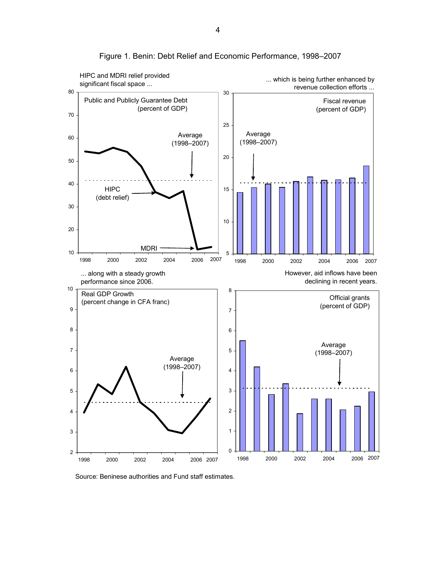

Figure 1. Benin: Debt Relief and Economic Performance, 1998–2007

Source: Beninese authorities and Fund staff estimates.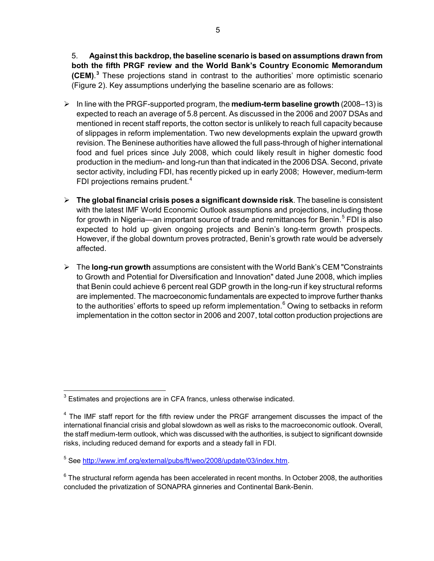<span id="page-4-0"></span>5. **Against this backdrop, the baseline scenario is based on assumptions drawn from both the fifth PRGF review and the World Bank's Country Economic Memorandum (CEM)**. **[3](#page-4-0)** These projections stand in contrast to the authorities' more optimistic scenario (Figure 2). Key assumptions underlying the baseline scenario are as follows:

- ¾ In line with the PRGF-supported program, the **medium-term baseline growth** (2008–13) is expected to reach an average of 5.8 percent. As discussed in the 2006 and 2007 DSAs and mentioned in recent staff reports, the cotton sector is unlikely to reach full capacity because of slippages in reform implementation. Two new developments explain the upward growth revision. The Beninese authorities have allowed the full pass-through of higher international food and fuel prices since July 2008, which could likely result in higher domestic food production in the medium- and long-run than that indicated in the 2006 DSA. Second, private sector activity, including FDI, has recently picked up in early 2008; However, medium-term FDI projections remains prudent.<sup>[4](#page-4-0)</sup>
- ¾ **The global financial crisis poses a significant downside risk**. The baseline is consistent with the latest IMF World Economic Outlook assumptions and projections, including those for growth in Nigeria—an important source of trade and remittances for Benin.<sup>[5](#page-4-0)</sup> FDI is also expected to hold up given ongoing projects and Benin's long-term growth prospects. However, if the global downturn proves protracted, Benin's growth rate would be adversely affected.
- ¾ The **long-run growth** assumptions are consistent with the World Bank's CEM "Constraints to Growth and Potential for Diversification and Innovation" dated June 2008, which implies that Benin could achieve 6 percent real GDP growth in the long-run if key structural reforms are implemented. The macroeconomic fundamentals are expected to improve further thanks to the authorities' efforts to speed up reform implementation.<sup>[6](#page-4-0)</sup> Owing to setbacks in reform implementation in the cotton sector in 2006 and 2007, total cotton production projections are

**Example 2**<br>
<sup>3</sup> Estimates and projections are in CFA francs, unless otherwise indicated.

 $4$  The IMF staff report for the fifth review under the PRGF arrangement discusses the impact of the international financial crisis and global slowdown as well as risks to the macroeconomic outlook. Overall, the staff medium-term outlook, which was discussed with the authorities, is subject to significant downside risks, including reduced demand for exports and a steady fall in FDI.

<sup>&</sup>lt;sup>5</sup> See http://www.imf.org/external/pubs/ft/weo/2008/update/03/index.htm.

 $^6$  The structural reform agenda has been accelerated in recent months. In October 2008, the authorities concluded the privatization of SONAPRA ginneries and Continental Bank-Benin.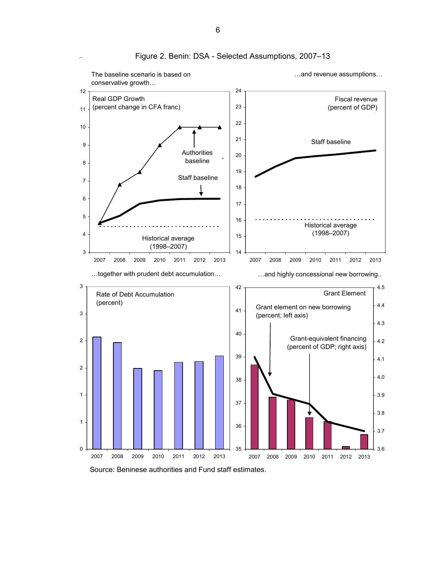

**(p )** Figure 2. Benin: DSA - Selected Assumptions, 2007–13

Source: Beninese authorities and Fund staff estimates.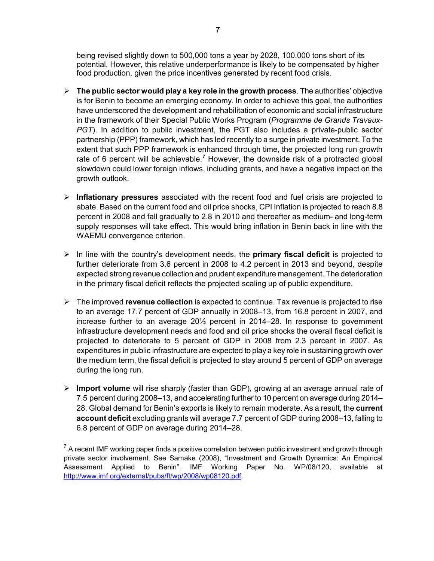<span id="page-6-0"></span>being revised slightly down to 500,000 tons a year by 2028, 100,000 tons short of its potential. However, this relative underperformance is likely to be compensated by higher food production, given the price incentives generated by recent food crisis.

- $\triangleright$  **The public sector would play a key role in the growth process**. The authorities' objective is for Benin to become an emerging economy. In order to achieve this goal, the authorities have underscored the development and rehabilitation of economic and social infrastructure in the framework of their Special Public Works Program (*Programme de Grands Travaux-PGT*). In addition to public investment, the PGT also includes a private-public sector partnership (PPP) framework, which has led recently to a surge in private investment. To the extent that such PPP framework is enhanced through time, the projected long run growth rate of 6 percent will be achievable.<sup>[7](#page-6-0)</sup> However, the downside risk of a protracted global slowdown could lower foreign inflows, including grants, and have a negative impact on the growth outlook.
- ¾ **Inflationary pressures** associated with the recent food and fuel crisis are projected to abate. Based on the current food and oil price shocks, CPI Inflation is projected to reach 8.8 percent in 2008 and fall gradually to 2.8 in 2010 and thereafter as medium- and long-term supply responses will take effect. This would bring inflation in Benin back in line with the WAEMU convergence criterion.
- ¾ In line with the country's development needs, the **primary fiscal deficit** is projected to further deteriorate from 3.6 percent in 2008 to 4.2 percent in 2013 and beyond, despite expected strong revenue collection and prudent expenditure management. The deterioration in the primary fiscal deficit reflects the projected scaling up of public expenditure.
- ¾ The improved **revenue collection** is expected to continue. Tax revenue is projected to rise to an average 17.7 percent of GDP annually in 2008–13, from 16.8 percent in 2007, and increase further to an average 20½ percent in 2014–28. In response to government infrastructure development needs and food and oil price shocks the overall fiscal deficit is projected to deteriorate to 5 percent of GDP in 2008 from 2.3 percent in 2007. As expenditures in public infrastructure are expected to play a key role in sustaining growth over the medium term, the fiscal deficit is projected to stay around 5 percent of GDP on average during the long run.
- ¾ **Import volume** will rise sharply (faster than GDP), growing at an average annual rate of 7.5 percent during 2008–13, and accelerating further to 10 percent on average during 2014– 28. Global demand for Benin's exports is likely to remain moderate. As a result, the **current account deficit** excluding grants will average 7.7 percent of GDP during 2008–13, falling to 6.8 percent of GDP on average during 2014–28.

 $7$  A recent IMF working paper finds a positive correlation between public investment and growth through private sector involvement. See Samake (2008), "Investment and Growth Dynamics: An Empirical Assessment Applied to Benin", IMF Working Paper No. WP/08/120, available at http://www.imf.org/external/pubs/ft/wp/2008/wp08120.pdf.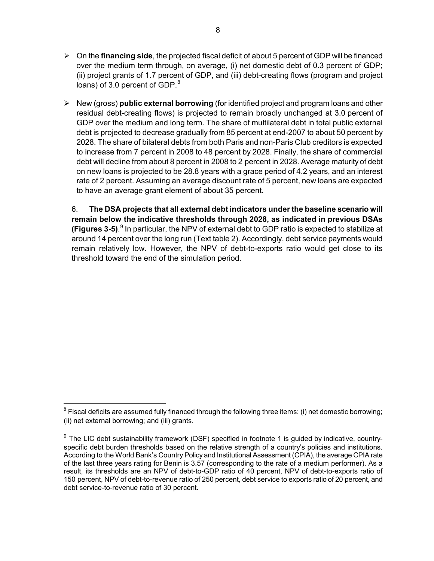- <span id="page-7-0"></span>¾ On the **financing side**, the projected fiscal deficit of about 5 percent of GDP will be financed over the medium term through, on average, (i) net domestic debt of 0.3 percent of GDP; (ii) project grants of 1.7 percent of GDP, and (iii) debt-creating flows (program and project loans) of 3.0 percent of GDP.<sup>[8](#page-7-0)</sup>
- ¾ New (gross) **public external borrowing** (for identified project and program loans and other residual debt-creating flows) is projected to remain broadly unchanged at 3.0 percent of GDP over the medium and long term. The share of multilateral debt in total public external debt is projected to decrease gradually from 85 percent at end-2007 to about 50 percent by 2028. The share of bilateral debts from both Paris and non-Paris Club creditors is expected to increase from 7 percent in 2008 to 48 percent by 2028. Finally, the share of commercial debt will decline from about 8 percent in 2008 to 2 percent in 2028. Average maturity of debt on new loans is projected to be 28.8 years with a grace period of 4.2 years, and an interest rate of 2 percent. Assuming an average discount rate of 5 percent, new loans are expected to have an average grant element of about 35 percent.

6. **The DSA projects that all external debt indicators under the baseline scenario will remain below the indicative thresholds through 2028, as indicated in previous DSAs (Figures 3-5)**. [9](#page-7-0) In particular, the NPV of external debt to GDP ratio is expected to stabilize at around 14 percent over the long run (Text table 2). Accordingly, debt service payments would remain relatively low. However, the NPV of debt-to-exports ratio would get close to its threshold toward the end of the simulation period.

-

 $^8$  Fiscal deficits are assumed fully financed through the following three items: (i) net domestic borrowing; (ii) net external borrowing; and (iii) grants.

 $9$  The LIC debt sustainability framework (DSF) specified in footnote 1 is guided by indicative, countryspecific debt burden thresholds based on the relative strength of a country's policies and institutions. According to the World Bank's Country Policy and Institutional Assessment (CPIA), the average CPIA rate of the last three years rating for Benin is 3.57 (corresponding to the rate of a medium performer). As a result, its thresholds are an NPV of debt-to-GDP ratio of 40 percent, NPV of debt-to-exports ratio of 150 percent, NPV of debt-to-revenue ratio of 250 percent, debt service to exports ratio of 20 percent, and debt service-to-revenue ratio of 30 percent.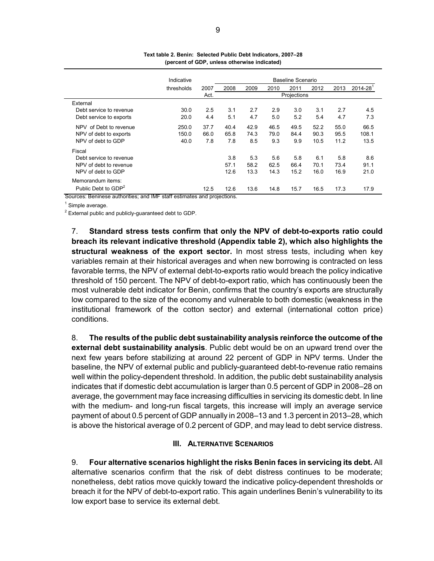|                                      | Indicative    |      |      |      |      | Baseline Scenario |      |      |                          |
|--------------------------------------|---------------|------|------|------|------|-------------------|------|------|--------------------------|
|                                      | thresholds    | 2007 | 2008 | 2009 | 2010 | 2011              | 2012 | 2013 | $2014 - 28$ <sup>1</sup> |
|                                      |               | Act. |      |      |      | Projections       |      |      |                          |
| External                             |               |      |      |      |      |                   |      |      |                          |
| Debt service to revenue              | 30.0          | 2.5  | 3.1  | 2.7  | 2.9  | 3.0               | 3.1  | 2.7  | 4.5                      |
| Debt service to exports              | 20.0          | 4.4  | 5.1  | 4.7  | 5.0  | 5.2               | 5.4  | 4.7  | 7.3                      |
| NPV of Debt to revenue               | 250.0         | 37.7 | 40.4 | 42.9 | 46.5 | 49.5              | 52.2 | 55.0 | 66.5                     |
| NPV of debt to exports               | 150.0         | 66.0 | 65.8 | 74.3 | 79.0 | 84.4              | 90.3 | 95.5 | 108.1                    |
| NPV of debt to GDP                   | 40.0          | 7.8  | 7.8  | 8.5  | 9.3  | 9.9               | 10.5 | 11.2 | 13.5                     |
| Fiscal                               |               |      |      |      |      |                   |      |      |                          |
| Debt service to revenue              |               |      | 3.8  | 5.3  | 5.6  | 5.8               | 6.1  | 5.8  | 8.6                      |
| NPV of debt to revenue               |               |      | 57.1 | 58.2 | 62.5 | 66.4              | 70.1 | 73.4 | 91.1                     |
| NPV of debt to GDP                   |               |      | 12.6 | 13.3 | 14.3 | 15.2              | 16.0 | 16.9 | 21.0                     |
| Memorandum items:                    |               |      |      |      |      |                   |      |      |                          |
| Public Debt to GDP <sup>2</sup><br>ិ | $\cdots$<br>. | 12.5 | 12.6 | 13.6 | 14.8 | 15.7              | 16.5 | 17.3 | 17.9                     |

**Text table 2. Benin: Selected Public Debt Indicators, 2007–28 (percent of GDP, unless otherwise indicated)**

Sources: Beninese authorities; and IMF staff estimates and projections.

<sup>1</sup> Simple average.

 $2$  External public and publicly-guaranteed debt to GDP.

7. **Standard stress tests confirm that only the NPV of debt-to-exports ratio could breach its relevant indicative threshold (Appendix table 2), which also highlights the structural weakness of the export sector.** In most stress tests, including when key variables remain at their historical averages and when new borrowing is contracted on less favorable terms, the NPV of external debt-to-exports ratio would breach the policy indicative threshold of 150 percent. The NPV of debt-to-export ratio, which has continuously been the most vulnerable debt indicator for Benin, confirms that the country's exports are structurally low compared to the size of the economy and vulnerable to both domestic (weakness in the institutional framework of the cotton sector) and external (international cotton price) conditions.

8. **The results of the public debt sustainability analysis reinforce the outcome of the external debt sustainability analysis**. Public debt would be on an upward trend over the next few years before stabilizing at around 22 percent of GDP in NPV terms. Under the baseline, the NPV of external public and publicly-guaranteed debt-to-revenue ratio remains well within the policy-dependent threshold. In addition, the public debt sustainability analysis indicates that if domestic debt accumulation is larger than 0.5 percent of GDP in 2008–28 on average, the government may face increasing difficulties in servicing its domestic debt. In line with the medium- and long-run fiscal targets, this increase will imply an average service payment of about 0.5 percent of GDP annually in 2008–13 and 1.3 percent in 2013–28, which is above the historical average of 0.2 percent of GDP, and may lead to debt service distress.

#### **III. ALTERNATIVE SCENARIOS**

9. **Four alternative scenarios highlight the risks Benin faces in servicing its debt.** All alternative scenarios confirm that the risk of debt distress continues to be moderate; nonetheless, debt ratios move quickly toward the indicative policy-dependent thresholds or breach it for the NPV of debt-to-export ratio. This again underlines Benin's vulnerability to its low export base to service its external debt.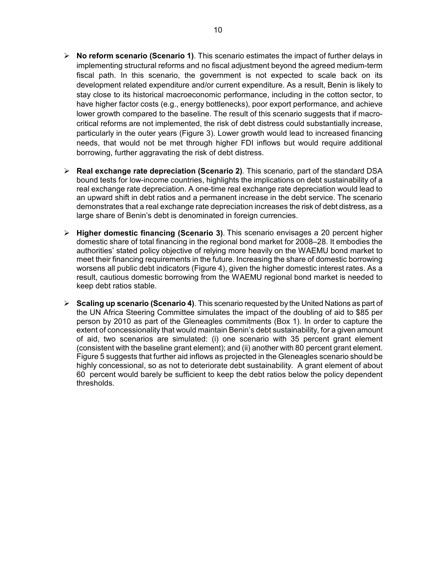- ¾ **No reform scenario (Scenario 1)**. This scenario estimates the impact of further delays in implementing structural reforms and no fiscal adjustment beyond the agreed medium-term fiscal path. In this scenario, the government is not expected to scale back on its development related expenditure and/or current expenditure. As a result, Benin is likely to stay close to its historical macroeconomic performance, including in the cotton sector, to have higher factor costs (e.g., energy bottlenecks), poor export performance, and achieve lower growth compared to the baseline. The result of this scenario suggests that if macrocritical reforms are not implemented, the risk of debt distress could substantially increase, particularly in the outer years (Figure 3). Lower growth would lead to increased financing needs, that would not be met through higher FDI inflows but would require additional borrowing, further aggravating the risk of debt distress.
- ¾ **Real exchange rate depreciation (Scenario 2)**. This scenario, part of the standard DSA bound tests for low-income countries, highlights the implications on debt sustainability of a real exchange rate depreciation. A one-time real exchange rate depreciation would lead to an upward shift in debt ratios and a permanent increase in the debt service. The scenario demonstrates that a real exchange rate depreciation increases the risk of debt distress, as a large share of Benin's debt is denominated in foreign currencies.
- ¾ **Higher domestic financing (Scenario 3)**. This scenario envisages a 20 percent higher domestic share of total financing in the regional bond market for 2008–28. It embodies the authorities' stated policy objective of relying more heavily on the WAEMU bond market to meet their financing requirements in the future. Increasing the share of domestic borrowing worsens all public debt indicators (Figure 4), given the higher domestic interest rates. As a result, cautious domestic borrowing from the WAEMU regional bond market is needed to keep debt ratios stable.
- ¾ **Scaling up scenario (Scenario 4)**. This scenario requested by the United Nations as part of the UN Africa Steering Committee simulates the impact of the doubling of aid to \$85 per person by 2010 as part of the Gleneagles commitments (Box 1). In order to capture the extent of concessionality that would maintain Benin's debt sustainability, for a given amount of aid, two scenarios are simulated: (i) one scenario with 35 percent grant element (consistent with the baseline grant element); and (ii) another with 80 percent grant element. Figure 5 suggests that further aid inflows as projected in the Gleneagles scenario should be highly concessional, so as not to deteriorate debt sustainability. A grant element of about 60 percent would barely be sufficient to keep the debt ratios below the policy dependent thresholds.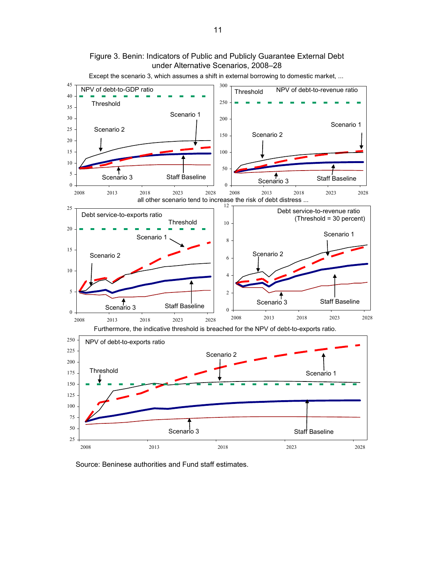

under Alternative Scenarios, 2008–28 Except the scenario 3, which assumes a shift in external borrowing to domestic market, ...

Figure 3. Benin: Indicators of Public and Publicly Guarantee External Debt

Source: Beninese authorities and Fund staff estimates.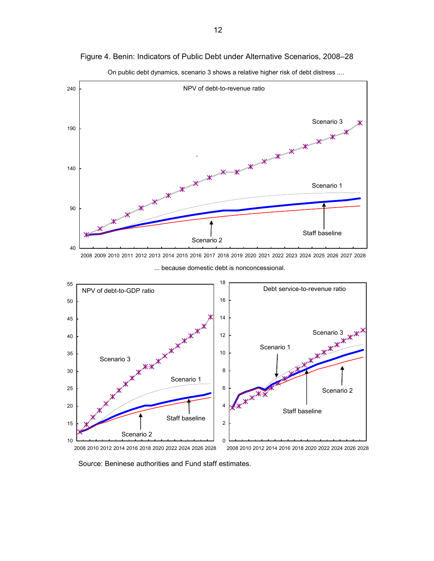

0

On public debt dynamics, scenario 3 shows a relative higher risk of debt distress ....

2008 2010 2012 2014 2016 2018 2020 2022 2024 2026 2028

10

2008 2010 2012 2014 2016 2018 2020 2022 2024 2026 2028

Source: Beninese authorities and Fund staff estimates.

Figure 4. Benin: Indicators of Public Debt under Alternative Scenarios, 2008–28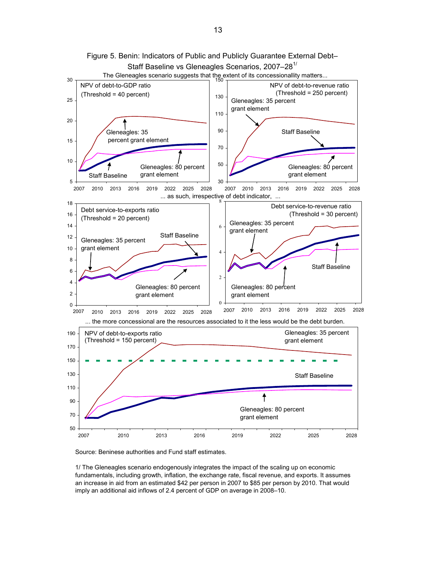

Figure 5. Benin: Indicators of Public and Publicly Guarantee External Debt– Staff Baseline vs Gleneagles Scenarios, 2007-28<sup>1/</sup>

Source: Beninese authorities and Fund staff estimates.

1/ The Gleneagles scenario endogenously integrates the impact of the scaling up on economic fundamentals, including growth, inflation, the exchange rate, fiscal revenue, and exports. It assumes an increase in aid from an estimated \$42 per person in 2007 to \$85 per person by 2010. That would imply an additional aid inflows of 2.4 percent of GDP on average in 2008–10.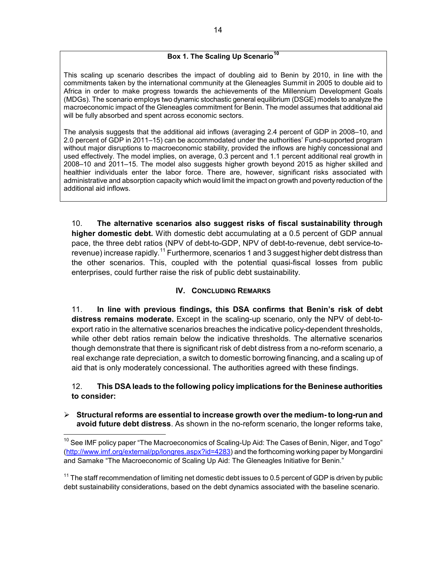# **Box 1. The Scaling Up Scenario[10](#page-13-0)**

<span id="page-13-0"></span>This scaling up scenario describes the impact of doubling aid to Benin by 2010, in line with the commitments taken by the international community at the Gleneagles Summit in 2005 to double aid to Africa in order to make progress towards the achievements of the Millennium Development Goals (MDGs). The scenario employs two dynamic stochastic general equilibrium (DSGE) models to analyze the macroeconomic impact of the Gleneagles commitment for Benin. The model assumes that additional aid will be fully absorbed and spent across economic sectors.

The analysis suggests that the additional aid inflows (averaging 2.4 percent of GDP in 2008–10, and 2.0 percent of GDP in 2011–15) can be accommodated under the authorities' Fund-supported program without major disruptions to macroeconomic stability, provided the inflows are highly concessional and used effectively. The model implies, on average, 0.3 percent and 1.1 percent additional real growth in 2008–10 and 2011–15. The model also suggests higher growth beyond 2015 as higher skilled and healthier individuals enter the labor force. There are, however, significant risks associated with administrative and absorption capacity which would limit the impact on growth and poverty reduction of the additional aid inflows.

10. **The alternative scenarios also suggest risks of fiscal sustainability through higher domestic debt.** With domestic debt accumulating at a 0.5 percent of GDP annual pace, the three debt ratios (NPV of debt-to-GDP, NPV of debt-to-revenue, debt service-to-revenue) increase rapidly.<sup>[11](#page-13-0)</sup> Furthermore, scenarios 1 and 3 suggest higher debt distress than the other scenarios. This, coupled with the potential quasi-fiscal losses from public enterprises, could further raise the risk of public debt sustainability.

## **IV. CONCLUDING REMARKS**

11. **In line with previous findings, this DSA confirms that Benin's risk of debt distress remains moderate.** Except in the scaling-up scenario, only the NPV of debt-toexport ratio in the alternative scenarios breaches the indicative policy-dependent thresholds, while other debt ratios remain below the indicative thresholds. The alternative scenarios though demonstrate that there is significant risk of debt distress from a no-reform scenario, a real exchange rate depreciation, a switch to domestic borrowing financing, and a scaling up of aid that is only moderately concessional. The authorities agreed with these findings.

## 12. **This DSA leads to the following policy implications for the Beninese authorities to consider:**

## ¾ **Structural reforms are essential to increase growth over the medium- to long-run and avoid future debt distress**. As shown in the no-reform scenario, the longer reforms take,

 $^{10}$  See IMF policy paper "The Macroeconomics of Scaling-Up Aid: The Cases of Benin, Niger, and Togo" (http://www.imf.org/external/pp/longres.aspx?id=4283) and the forthcoming working paper by Mongardini and Samake "The Macroeconomic of Scaling Up Aid: The Gleneagles Initiative for Benin."

 $11$  The staff recommendation of limiting net domestic debt issues to 0.5 percent of GDP is driven by public debt sustainability considerations, based on the debt dynamics associated with the baseline scenario.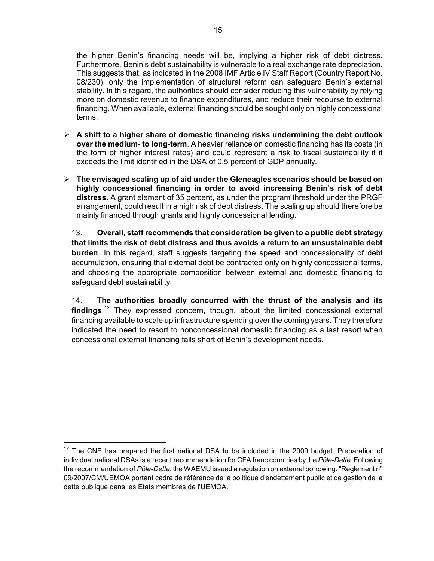<span id="page-14-0"></span>the higher Benin's financing needs will be, implying a higher risk of debt distress. Furthermore, Benin's debt sustainability is vulnerable to a real exchange rate depreciation. This suggests that, as indicated in the 2008 IMF Article IV Staff Report (Country Report No. 08/230), only the implementation of structural reform can safeguard Benin's external stability. In this regard, the authorities should consider reducing this vulnerability by relying more on domestic revenue to finance expenditures, and reduce their recourse to external financing. When available, external financing should be sought only on highly concessional terms.

- ¾ **A shift to a higher share of domestic financing risks undermining the debt outlook over the medium- to long-term**. A heavier reliance on domestic financing has its costs (in the form of higher interest rates) and could represent a risk to fiscal sustainability if it exceeds the limit identified in the DSA of 0.5 percent of GDP annually.
- ¾ **The envisaged scaling up of aid under the Gleneagles scenarios should be based on highly concessional financing in order to avoid increasing Benin's risk of debt distress**. A grant element of 35 percent, as under the program threshold under the PRGF arrangement, could result in a high risk of debt distress. The scaling up should therefore be mainly financed through grants and highly concessional lending.

13. **Overall, staff recommends that consideration be given to a public debt strategy that limits the risk of debt distress and thus avoids a return to an unsustainable debt burden**. In this regard, staff suggests targeting the speed and concessionality of debt accumulation, ensuring that external debt be contracted only on highly concessional terms, and choosing the appropriate composition between external and domestic financing to safeguard debt sustainability.

14. **The authorities broadly concurred with the thrust of the analysis and its findings**. [12](#page-14-0) They expressed concern, though, about the limited concessional external financing available to scale up infrastructure spending over the coming years. They therefore indicated the need to resort to nonconcessional domestic financing as a last resort when concessional external financing falls short of Benin's development needs.

<sup>&</sup>lt;sup>12</sup> The CNE has prepared the first national DSA to be included in the 2009 budget. Preparation of individual national DSAs is a recent recommendation for CFA franc countries by the *Pôle-Dette.* Following the recommendation of *Pôle-Dette*, the WAEMU issued a regulation on external borrowing: "Règlement n° 09/2007/CM/UEMOA portant cadre de référence de la politique d'endettement public et de gestion de la dette publique dans les Etats membres de l'UEMOA."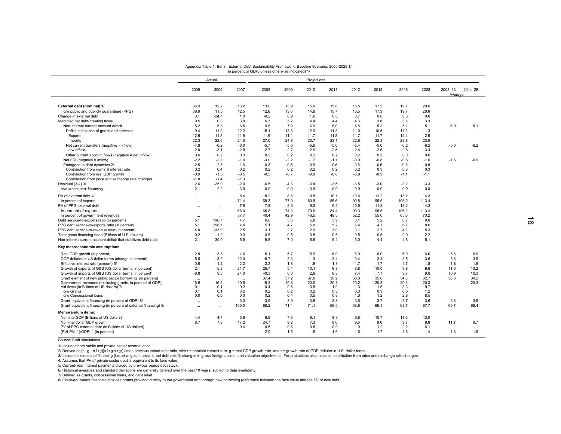|                                                                            |                  | Actual            |           |          |          | Projections |          |          |          |          |          |                    |         |
|----------------------------------------------------------------------------|------------------|-------------------|-----------|----------|----------|-------------|----------|----------|----------|----------|----------|--------------------|---------|
|                                                                            |                  | 2006              |           |          |          |             |          |          |          |          |          |                    |         |
|                                                                            | 2005             |                   | 2007      | 2008     | 2009     | 2010        | 2011     | 2012     | 2013     | 2018     | 2028     | 2008-13<br>Average | 2014-28 |
|                                                                            |                  |                   |           |          |          |             |          |          |          |          |          |                    |         |
| External debt (nominal) 1/                                                 | 36.9             | 12.2              | 13.2      | 13.0     | 13.9     | 15.0        | 15.8     | 16.5     | 17.3     | 19.7     | 20.6     |                    |         |
| o/w public and publicly guaranteed (PPG)                                   | 36.9             | 11.5              | 12.5      | 12.6     | 13.6     | 14.8        | 15.7     | 16.5     | 17.3     | 19.7     | 20.6     |                    |         |
| Change in external debt                                                    | 3.1              | $-24.7$           | 1.0       | $-0.2$   | 0.9      | 1.0         | 0.8      | 0.7      | 0.8      | 0.3      | 0.0      |                    |         |
|                                                                            | 0.5              | 0.3               | 3.0       | 6.3      | 5.2      | 4.4         | 4.4      | 4.3      | 3.8      | 3.5      | 3.3      |                    |         |
| Identified net debt-creating flows<br>Non-interest current account deficit | 5.2              | 5.3               | 6.5       | 9.6      | 7.9      | 6.6         | 6.0      | 5.8      | 5.2      | 5.2      | 5.1      | 6.9                | 5.1     |
|                                                                            | 9.4              | 11.3              | 12.2      | 15.1     | 13.3     | 12.0        | 11.3     | 11.0     | 10.5     | 11.3     | 11.3     |                    |         |
| Deficit in balance of goods and services                                   | 12.9             |                   | 11.8      |          | 11.4     | 11.7        | 11.8     |          |          | 12.4     |          |                    |         |
| Exports                                                                    |                  | 11.3              |           | 11.9     |          |             |          | 11.7     | 11.7     |          | 12.6     |                    |         |
| Imports                                                                    | 22.3             | 22.6              | 24.0      | 27.0     | 24.8     | 23.7        | 23.1     | 22.6     | 22.3     | 23.8     | 23.9     |                    |         |
| Net current transfers (negative = inflow)                                  | $-4.8$           | $-6.2$            | $-6.0$    | $-5.7$   | $-5.6$   | $-5.6$      | $-5.6$   | $-5.4$   | $-5.6$   | $-6.2$   | $-6.2$   | $-5.6$             | $-6.2$  |
| o/w official                                                               | $-2.0$           | $-3.1$            | $-2.8$    | $-2.7$   | $-2.7$   | $-2.6$      | $-2.5$   | $-2.4$   | $-2.6$   | $-2.8$   | $-3.4$   |                    |         |
| Other current account flows (negative = net inflow)                        | 0.6              | 0.2               | 0.3       | 0.2      | 0.2      | 0.2         | 0.2      | 0.2      | 0.2      | 0.0      | 0.0      |                    |         |
| Net FDI (negative = inflow)                                                | $-2.2$           | $-2.8$            | $-1.9$    | $-3.0$   | $-2.2$   | $-1.7$      | $-1.1$   | $-0.9$   | $-0.8$   | $-0.8$   | $-1.0$   | $-1.6$             | $-0.9$  |
| Endogenous debt dynamics 2/                                                | $-2.5$           | $-2.3$            | $-1.6$    | $-0.3$   | $-0.5$   | $-0.5$      | $-0.6$   | $-0.6$   | $-0.6$   | $-0.8$   | $-0.8$   |                    |         |
| Contribution from nominal interest rate                                    | 0.2              | 0.4               | 0.2       | 0.2      | 0.2      | 0.2         | 0.2      | 0.2      | 0.3      | 0.3      | 0.3      |                    |         |
| Contribution from real GDP growth                                          | $-0.9$           | $-1.3$            | $-0.5$    | $-0.5$   | $-0.7$   | $-0.8$      | $-0.8$   | $-0.9$   | $-0.9$   | $-1.1$   | $-1.1$   |                    |         |
| Contribution from price and exchange rate changes                          | $-1.8$           | $-1.4$            | $-1.3$    | $\cdots$ | $\cdots$ | $\ldots$    | $\cdots$ | $\cdots$ | $\cdots$ | $\cdots$ | $\cdots$ |                    |         |
| Residual (3-4) 3/                                                          | 2.6              | $-25.0$           | $-2.0$    | $-6.5$   | $-4.3$   | $-3.4$      | $-3.5$   | $-3.5$   | $-3.0$   | $-3.2$   | $-3.3$   |                    |         |
| o/w exceptional financing                                                  | $-2.1$           | $-2.2$            | $-3.0$    | 0.0      | 0.0      | 0.0         | 0.0      | 0.0      | 0.0      | 0.0      | 0.0      |                    |         |
| PV of external debt 4/                                                     | $\cdots$         | $\cdots$          | 8.4       | 8.2      | 8.8      | 9.5         | 10.1     | 10.6     | 11.2     | 13.2     | 14.3     |                    |         |
| In percent of exports                                                      |                  | $\ldots$          | 71.4      | 69.3     | 77.0     | 80.9        | 85.6     | 90.8     | 95.5     | 106.2    | 113.4    |                    |         |
| PV of PPG external debt                                                    | $\cdots$         | $\cdots$          | 7.8       | 7.8      | 8.5      | 9.3         | 9.9      | 10.5     | 11.2     | 13.2     | 14.3     |                    |         |
| In percent of exports                                                      |                  | $\cdots$          | 66.0      | 65.8     | 74.3     | 79.0        | 84.4     | 90.3     | 95.5     | 106.2    | 113.4    |                    |         |
| In percent of government revenues                                          |                  |                   | 37.7      | 40.4     | 42.9     | 46.5        | 49.5     | 52.2     | 55.0     | 65.0     | 70.2     |                    |         |
| Debt service-to-exports ratio (in percent)                                 | $\ddotsc$<br>5.1 | $\cdots$<br>198.7 | 4.7       | 6.0      | 5.6      | 5.8         | 5.9      | 6.1      | 5.2      | 6.7      | 8.6      |                    |         |
| PPG debt service-to-exports ratio (in percent)                             | 5.1              | 198.7             | 4.4       | 5.1      | 4.7      | 5.0         | 5.2      | 5.4      | 4.7      | 6.7      | 8.6      |                    |         |
| PPG debt service-to-revenue ratio (in percent)                             | 4.0              | 133.9             | 2.5       | 3.1      | 2.7      | 2.9         | 3.0      | 3.1      | 2.7      | 4.1      | 5.3      |                    |         |
|                                                                            |                  |                   |           | 0.5      | 0.5      | 0.5         | 0.5      |          |          | 0.9      | 2.2      |                    |         |
| Total gross financing need (Billions of U.S. dollars)                      | 0.2              | 1.2               | 0.3       |          |          |             |          | 0.5      | 0.5      |          |          |                    |         |
| Non-interest current account deficit that stabilizes debt ratio            | 2.1              | 30.0              | 5.5       | 9.8      | 7.0      | 5.6         | 5.2      | 5.0      | 4.4      | 4.8      | 5.1      |                    |         |
| Key macroeconomic assumptions                                              |                  |                   |           |          |          |             |          |          |          |          |          |                    |         |
| Real GDP growth (in percent)                                               | 2.9              | 3.8               | 4.6       | 5.1      | 5.7      | 5.9         | 6.0      | 6.0      | 6.0      | 6.0      | 6.0      | 5.8                | 6.0     |
| GDP deflator in US dollar terms (change in percent)                        | 5.6              | 3.9               | 12.0      | 18.7     | 3.3      | 1.3         | 3.4      | 3.4      | 3.4      | 3.5      | 3.6      | 5.6                | 3.5     |
| Effective interest rate (percent) 5/                                       | 0.8              | 1.2               | 2.2       | 2.3      | 1.8      | 1.8         | 1.8      | 1.7      | 1.7      | 1.7      | 1.8      | 1.8                | 1.8     |
| Growth of exports of G&S (US dollar terms, in percent)                     | $-2.1$           | $-5.3$            | 21.7      | 25.7     | 5.4      | 10.1        | 9.8      | 8.8      | 10.0     | 9.8      | 9.9      | 11.6               | 10.2    |
| Growth of imports of G&S (US dollar terms, in percent)                     | $-8.8$           | 9.5               | 24.0      | 40.3     | 0.3      | 2.8         | 6.8      | 7.4      | 7.7      | 9.7      | 9.8      | 10.9               | 10.3    |
| Grant element of new public sector borrowing (in percent)                  | $\ddotsc$        | $\cdots$          | $\ddotsc$ | 37.4     | 37.2     | 37.0        | 36.2     | 36.0     | 35.8     | 34.8     | 32.7     | 36.6               | 34.2    |
| Government revenues (excluding grants, in percent of GDP)                  | 16.5             | 16.8              | 20.6      | 19.3     | 19.8     | 20.0        | 20.1     | 20.2     | 20.3     | 20.3     | 20.3     |                    | 20.3    |
| Aid flows (in Billions of US dollars) 7/                                   | 0.1              | 0.1               | 0.2       | 0.4      | 0.6      | 0.8         | 1.0      | 1.3      | 1.5      | 3.3      | 9.7      |                    |         |
| o/w Grants                                                                 | 0.1              | 0.1               | 0.2       | 0.2      | 0.2      | 0.2         | 0.3      | 0.3      | 0.3      | 0.5      | 1.2      |                    |         |
| o/w Concessional loans                                                     | 0.0              | 0.0               | 0.0       | 0.2      | 0.4      | 0.5         | 0.8      | 1.0      | 1.2      | 2.8      | 8.5      |                    |         |
| Grant-equivalent financing (in percent of GDP) 8/                          | $\cdots$         | $\cdots$          | 3.0       | 3.9      | 3.9      | 3.8         | 3.8      | 3.6      | 3.7      | 3.7      | 3.6      | 3.8                | 3.6     |
| Grant-equivalent financing (in percent of external financing) 8/           | $\ddotsc$        | $\cdots$          | 100.0     | 68.2     | 71.4     | 71.1        | 69.5     | 68.6     | 69.1     | 68.7     | 67.7     | 69.7               | 68.4    |
| <b>Memorandum items:</b>                                                   |                  |                   |           |          |          |             |          |          |          |          |          |                    |         |
| Nominal GDP (Billions of US dollars)                                       | 4.4              | 4.7               | 5.6       | 6.9      | 7.6      | 8.1         | 8.9      | 9.8      | 10.7     | 17.0     | 43.0     |                    |         |
| Nominal dollar GDP growth                                                  | 8.7              | 7.8               | 17.2      | 24.7     | 9.2      | 7.3         | 9.6      | 9.6      | 9.6      | 9.7      | 9.8      | 11.7               | 9.7     |
| PV of PPG external debt (in Billions of US dollars)                        |                  |                   | 0.4       | 0.5      | 0.6      | 0.8         | 0.9      | 1.0      | 1.2      | 2.2      | 6.1      |                    |         |
| (PVt-PVt-1)/GDPt-1 (in percent)                                            |                  |                   |           | 2.0      | 1.5      | 1.5         | 1.6      | 1.6      | 1.7      | 1.6      | 1.4      | 1.6                | 1.5     |

Appendix Table 1. Benin: External Debt Sustainability Framework, Baseline Scenario, 2005-2028 1/ (In percent of GDP, unless otherwise indicated) 1/

Source: Staff simulations.e de la construcción de la construcción de la construcción de la construcción de la construcción de la construcción<br>De la construcción de la construcción de la construcción de la construcción de la construcción de la const

 $\overline{\phantom{a}}$ 

1/ Includes both public and private sector external debt.

2/ Derived as [r - g - r(1+g)]/(1+g+r+gr) times previous period debt ratio, with r = nominal interest rate; g = real GDP growth rate, and r = growth rate of GDP deflator in U.S. dollar terms.

3/ Includes exceptional financing (i.e., changes in arrears and debt relief); changes in gross foreign assets; and valuation adjustments. For projections also includes contribution from price and exchange rate changes.

4/ Assumes that PV of private sector debt is equivalent to its face value.

5/ Current-year interest payments divided by previous period debt stock.

6/ Historical averages and standard deviations are generally derived over the past 10 years, subject to data availability.

7/ Defined as grants, concessional loans, and debt relief.

8/ Grant-equivalent financing includes grants provided directly to the government and through new borrowing (difference between the face value and the PV of new debt).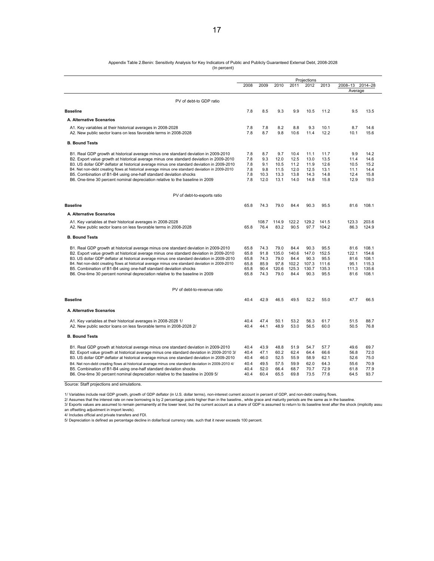# Appendix Table 2.Benin: Sensitivity Analysis for Key Indicators of Public and Publicly Guaranteed External Debt, 2008-2028<br>(In percent)

|  | (In percent) |
|--|--------------|
|--|--------------|

|                                                                                                                                                                                                                                                                                                                                                                                                                                                                                                                                       | Projections                                  |                                              |                                                |                                                 |                                                 |                                                 |                                                |                                                    |
|---------------------------------------------------------------------------------------------------------------------------------------------------------------------------------------------------------------------------------------------------------------------------------------------------------------------------------------------------------------------------------------------------------------------------------------------------------------------------------------------------------------------------------------|----------------------------------------------|----------------------------------------------|------------------------------------------------|-------------------------------------------------|-------------------------------------------------|-------------------------------------------------|------------------------------------------------|----------------------------------------------------|
|                                                                                                                                                                                                                                                                                                                                                                                                                                                                                                                                       | 2008                                         | 2009                                         | 2010                                           | 2011                                            | 2012                                            | 2013                                            | 2008-13 2014-28<br>Average                     |                                                    |
| PV of debt-to GDP ratio                                                                                                                                                                                                                                                                                                                                                                                                                                                                                                               |                                              |                                              |                                                |                                                 |                                                 |                                                 |                                                |                                                    |
| <b>Baseline</b>                                                                                                                                                                                                                                                                                                                                                                                                                                                                                                                       | 7.8                                          | 8.5                                          | 9.3                                            | 9.9                                             | 10.5                                            | 11.2                                            | 9.5                                            | 13.5                                               |
| A. Alternative Scenarios                                                                                                                                                                                                                                                                                                                                                                                                                                                                                                              |                                              |                                              |                                                |                                                 |                                                 |                                                 |                                                |                                                    |
| A1. Key variables at their historical averages in 2008-2028<br>A2. New public sector loans on less favorable terms in 2008-2028                                                                                                                                                                                                                                                                                                                                                                                                       | 7.8<br>7.8                                   | 7.8<br>8.7                                   | 8.2<br>9.8                                     | 8.8<br>10.6                                     | 9.3<br>11.4                                     | 10.1<br>12.2                                    | 8.7<br>10.1                                    | 14.6<br>15.6                                       |
| <b>B. Bound Tests</b>                                                                                                                                                                                                                                                                                                                                                                                                                                                                                                                 |                                              |                                              |                                                |                                                 |                                                 |                                                 |                                                |                                                    |
| B1. Real GDP growth at historical average minus one standard deviation in 2009-2010<br>B2. Export value growth at historical average minus one standard deviation in 2009-2010<br>B3. US dollar GDP deflator at historical average minus one standard deviation in 2009-2010<br>B4. Net non-debt creating flows at historical average minus one standard deviation in 2009-2010<br>B5. Combination of B1-B4 using one-half standard deviation shocks<br>B6. One-time 30 percent nominal depreciation relative to the baseline in 2009 | 7.8<br>7.8<br>7.8<br>7.8<br>7.8<br>7.8       | 8.7<br>9.3<br>9.1<br>9.8<br>10.3<br>12.0     | 9.7<br>12.0<br>10.5<br>11.5<br>13.3<br>13.1    | 10.4<br>12.5<br>11.2<br>12.0<br>13.8<br>14.0    | 11.1<br>13.0<br>11.9<br>12.5<br>14.3<br>14.8    | 11.7<br>13.5<br>12.6<br>13.1<br>14.8<br>15.8    | 9.9<br>11.4<br>10.5<br>11.1<br>12.4<br>12.9    | 14.2<br>14.6<br>15.2<br>14.4<br>15.8<br>19.0       |
| PV of debt-to-exports ratio                                                                                                                                                                                                                                                                                                                                                                                                                                                                                                           |                                              |                                              |                                                |                                                 |                                                 |                                                 |                                                |                                                    |
| <b>Baseline</b>                                                                                                                                                                                                                                                                                                                                                                                                                                                                                                                       | 65.8                                         | 74.3                                         | 79.0                                           | 84.4                                            | 90.3                                            | 95.5                                            | 81.6                                           | 108.1                                              |
| A. Alternative Scenarios                                                                                                                                                                                                                                                                                                                                                                                                                                                                                                              |                                              |                                              |                                                |                                                 |                                                 |                                                 |                                                |                                                    |
| A1. Key variables at their historical averages in 2008-2028<br>A2. New public sector loans on less favorable terms in 2008-2028                                                                                                                                                                                                                                                                                                                                                                                                       | 65.8                                         | 108.7<br>76.4                                | 114.9<br>83.2                                  | 122.2<br>90.5                                   | 129.2<br>97.7                                   | 141.5<br>104.2                                  | 123.3<br>86.3                                  | 203.6<br>124.9                                     |
| <b>B. Bound Tests</b>                                                                                                                                                                                                                                                                                                                                                                                                                                                                                                                 |                                              |                                              |                                                |                                                 |                                                 |                                                 |                                                |                                                    |
| B1. Real GDP growth at historical average minus one standard deviation in 2009-2010<br>B2. Export value growth at historical average minus one standard deviation in 2009-2010<br>B3. US dollar GDP deflator at historical average minus one standard deviation in 2009-2010<br>B4. Net non-debt creating flows at historical average minus one standard deviation in 2009-2010<br>B5. Combination of B1-B4 using one-half standard deviation shocks<br>B6. One-time 30 percent nominal depreciation relative to the baseline in 2009 | 65.8<br>65.8<br>65.8<br>65.8<br>65.8<br>65.8 | 74.3<br>91.8<br>74.3<br>85.9<br>90.4<br>74.3 | 79.0<br>135.0<br>79.0<br>97.8<br>120.6<br>79.0 | 84.4<br>140.6<br>84.4<br>102.2<br>125.3<br>84.4 | 90.3<br>147.0<br>90.3<br>107.3<br>130.7<br>90.3 | 95.5<br>152.5<br>95.5<br>111.6<br>135.3<br>95.5 | 81.6<br>122.1<br>81.6<br>95.1<br>111.3<br>81.6 | 108.1<br>154.6<br>108.1<br>115.3<br>135.6<br>108.1 |
| PV of debt-to-revenue ratio                                                                                                                                                                                                                                                                                                                                                                                                                                                                                                           |                                              |                                              |                                                |                                                 |                                                 |                                                 |                                                |                                                    |
| <b>Baseline</b>                                                                                                                                                                                                                                                                                                                                                                                                                                                                                                                       | 40.4                                         | 42.9                                         | 46.5                                           | 49.5                                            | 52.2                                            | 55.0                                            | 47.7                                           | 66.5                                               |
| A. Alternative Scenarios                                                                                                                                                                                                                                                                                                                                                                                                                                                                                                              |                                              |                                              |                                                |                                                 |                                                 |                                                 |                                                |                                                    |
| A1. Key variables at their historical averages in 2008-2028 1/<br>A2. New public sector loans on less favorable terms in 2008-2028 2/                                                                                                                                                                                                                                                                                                                                                                                                 | 40.4<br>40.4                                 | 47.4<br>44.1                                 | 50.1<br>48.9                                   | 53.2<br>53.0                                    | 56.3<br>56.5                                    | 61.7<br>60.0                                    | 51.5<br>50.5                                   | 88.7<br>76.8                                       |
| <b>B. Bound Tests</b>                                                                                                                                                                                                                                                                                                                                                                                                                                                                                                                 |                                              |                                              |                                                |                                                 |                                                 |                                                 |                                                |                                                    |
| B1. Real GDP growth at historical average minus one standard deviation in 2009-2010<br>B2. Export value growth at historical average minus one standard deviation in 2009-2010 3/<br>B3. US dollar GDP deflator at historical average minus one standard deviation in 2009-2010<br>B4. Net non-debt creating flows at historical average minus one standard deviation in 2009-2010 4/                                                                                                                                                 | 40.4<br>40.4<br>40.4<br>40.4                 | 43.9<br>47.1<br>46.0<br>49.5                 | 48.8<br>60.2<br>52.5<br>57.5                   | 51.9<br>62.4<br>55.9<br>59.9                    | 54.7<br>64.4<br>58.9<br>62.0                    | 57.7<br>66.6<br>62.1<br>64.3                    | 49.6<br>56.8<br>52.6<br>55.6                   | 69.7<br>72.0<br>75.0<br>70.9                       |
| B5. Combination of B1-B4 using one-half standard deviation shocks<br>B6. One-time 30 percent nominal depreciation relative to the baseline in 2009 5/                                                                                                                                                                                                                                                                                                                                                                                 | 40.4<br>40.4                                 | 52.0<br>60.4                                 | 66.4<br>65.5                                   | 68.7<br>69.8                                    | 70.7<br>73.5                                    | 72.9<br>77.6                                    | 61.8<br>64.5                                   | 77.9<br>93.7                                       |

Source: Staff projections and simulations.

1/ Variables include real GDP growth, growth of GDP deflator (in U.S. dollar terms), non-interest current account in percent of GDP, and non-debt creating flows.

2/ Assumes that the interest rate on new borrowing is by 2 percentage points higher than in the baseline., while grace and maturity periods are the same as in the baseline.<br>3/ Exports values are assumed to remain permanent an offsetting adjustment in import levels).

4/ Includes official and private transfers and FDI.

5/ Depreciation is defined as percentage decline in dollar/local currency rate, such that it never exceeds 100 percent.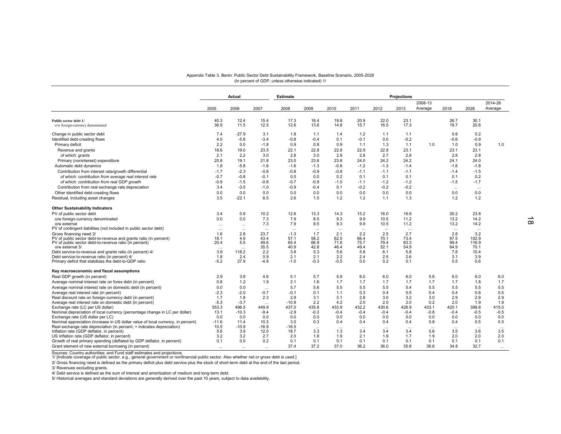# Appendix Table 3. Benin: Public Sector Debt Sustainability Framework, Baseline Scenario, 2005-2028 (In percent of GDP, unless otherwise indicated) 1/

| 2008-13<br>2008<br>Average<br>2005<br>2006<br>2007<br>2009<br>2010<br>2011<br>2012<br>2013<br>2018<br>40.3<br>12.4<br>15.4<br>17.3<br>18.4<br>19.8<br>20.9<br>22.0<br>23.1<br>26.7<br>Public sector debt 1/<br>12.6<br>36.9<br>12.5<br>16.5<br>17.3<br>11.5<br>13.6<br>14.8<br>15.7<br>19.7<br>o/w foreign-currency denominated<br>$-27.9$<br>Change in public sector debt<br>7.4<br>3.1<br>1.8<br>1.2<br>1.1<br>1.1<br>0.6<br>1.1<br>1.4<br>$-0.2$<br>4.0<br>$-3.4$<br>$-0.8$<br>$-0.1$<br>0.0<br>$-0.6$<br>Identified debt-creating flows<br>$-5.8$<br>$-0.4$<br>0.1<br>2.2<br>0.0<br>0.9<br>0.8<br>0.9<br>1.3<br>1.1<br>1.0<br>1.0<br>Primary deficit<br>$-1.8$<br>1.1<br>23.5<br>22.8<br>22.9<br>22.9<br>23.1<br>23.1<br>Revenue and grants<br>18.6<br>19.0<br>22.1<br>22.8<br>2.8<br>2.1<br>2.2<br>3.0<br>2.8<br>3.0<br>2.9<br>2.8<br>2.7<br>2.8<br>of which: grants<br>24.2<br>24.2<br>20.8<br>23.0<br>23.6<br>23.8<br>24.0<br>24.1<br>Primary (noninterest) expenditure<br>19.1<br>21.8<br>Automatic debt dynamics<br>1.8<br>$-5.8$<br>$-1.3$<br>$-0.8$<br>$-1.2$<br>$-1.3$<br>$-1.4$<br>$-1.6$<br>$-1.6$<br>$-1.6$ |                  |          |  |
|----------------------------------------------------------------------------------------------------------------------------------------------------------------------------------------------------------------------------------------------------------------------------------------------------------------------------------------------------------------------------------------------------------------------------------------------------------------------------------------------------------------------------------------------------------------------------------------------------------------------------------------------------------------------------------------------------------------------------------------------------------------------------------------------------------------------------------------------------------------------------------------------------------------------------------------------------------------------------------------------------------------------------------------------------------------------------------------------------------------------------|------------------|----------|--|
|                                                                                                                                                                                                                                                                                                                                                                                                                                                                                                                                                                                                                                                                                                                                                                                                                                                                                                                                                                                                                                                                                                                            | 2014-28          |          |  |
|                                                                                                                                                                                                                                                                                                                                                                                                                                                                                                                                                                                                                                                                                                                                                                                                                                                                                                                                                                                                                                                                                                                            | Average<br>2028  |          |  |
|                                                                                                                                                                                                                                                                                                                                                                                                                                                                                                                                                                                                                                                                                                                                                                                                                                                                                                                                                                                                                                                                                                                            | 30.1<br>20.6     |          |  |
|                                                                                                                                                                                                                                                                                                                                                                                                                                                                                                                                                                                                                                                                                                                                                                                                                                                                                                                                                                                                                                                                                                                            |                  |          |  |
|                                                                                                                                                                                                                                                                                                                                                                                                                                                                                                                                                                                                                                                                                                                                                                                                                                                                                                                                                                                                                                                                                                                            | 0.2              |          |  |
|                                                                                                                                                                                                                                                                                                                                                                                                                                                                                                                                                                                                                                                                                                                                                                                                                                                                                                                                                                                                                                                                                                                            | $-0.9$           |          |  |
|                                                                                                                                                                                                                                                                                                                                                                                                                                                                                                                                                                                                                                                                                                                                                                                                                                                                                                                                                                                                                                                                                                                            | 0.9              | 1.0      |  |
|                                                                                                                                                                                                                                                                                                                                                                                                                                                                                                                                                                                                                                                                                                                                                                                                                                                                                                                                                                                                                                                                                                                            | 23.1             |          |  |
|                                                                                                                                                                                                                                                                                                                                                                                                                                                                                                                                                                                                                                                                                                                                                                                                                                                                                                                                                                                                                                                                                                                            | 2.8              |          |  |
|                                                                                                                                                                                                                                                                                                                                                                                                                                                                                                                                                                                                                                                                                                                                                                                                                                                                                                                                                                                                                                                                                                                            | 24.0             |          |  |
|                                                                                                                                                                                                                                                                                                                                                                                                                                                                                                                                                                                                                                                                                                                                                                                                                                                                                                                                                                                                                                                                                                                            | $-1.8$           |          |  |
| Contribution from interest rate/growth differential<br>$-1.7$<br>$-2.3$<br>$-0.6$<br>$-0.8$<br>$-0.9$<br>$-0.8$<br>$-1.1$<br>$-1.1$<br>$-1.1$<br>$-1.4$                                                                                                                                                                                                                                                                                                                                                                                                                                                                                                                                                                                                                                                                                                                                                                                                                                                                                                                                                                    | $-1.5$           |          |  |
| 0.1<br>$-0.7$<br>$-0.8$<br>0.1<br>0.1<br>0.1<br>of which: contribution from average real interest rate<br>$-0.1$<br>0.0<br>0.0<br>0.2                                                                                                                                                                                                                                                                                                                                                                                                                                                                                                                                                                                                                                                                                                                                                                                                                                                                                                                                                                                      | 0.2              |          |  |
| of which: contribution from real GDP growth<br>$-0.9$<br>$-1.5$<br>$-0.6$<br>$-0.7$<br>$-0.9$<br>$-1.0$<br>$-1.1$<br>$-1.2$<br>$-1.2$<br>$-1.5$                                                                                                                                                                                                                                                                                                                                                                                                                                                                                                                                                                                                                                                                                                                                                                                                                                                                                                                                                                            | $-1.7$           |          |  |
| $-0.2$<br>$-0.2$<br>Contribution from real exchange rate depreciation<br>3.4<br>$-3.5$<br>$-1.0$<br>$-0.9$<br>$-0.4$<br>0.1<br>$-0.2$<br>$\cdots$                                                                                                                                                                                                                                                                                                                                                                                                                                                                                                                                                                                                                                                                                                                                                                                                                                                                                                                                                                          | $\cdots$         |          |  |
| 0.0<br>Other identified debt-creating flows<br>0.0<br>0.0<br>0.0<br>0.0<br>0.0<br>0.0<br>0.0<br>0.0<br>0.0                                                                                                                                                                                                                                                                                                                                                                                                                                                                                                                                                                                                                                                                                                                                                                                                                                                                                                                                                                                                                 | 0.0              |          |  |
| 3.5<br>$-22.1$<br>1.3<br>1.2<br>Residual, including asset changes<br>6.5<br>2.6<br>1.5<br>1.2<br>1.2<br>1.1                                                                                                                                                                                                                                                                                                                                                                                                                                                                                                                                                                                                                                                                                                                                                                                                                                                                                                                                                                                                                | 1.2              |          |  |
| <b>Other Sustainability Indicators</b>                                                                                                                                                                                                                                                                                                                                                                                                                                                                                                                                                                                                                                                                                                                                                                                                                                                                                                                                                                                                                                                                                     |                  |          |  |
| PV of public sector debt<br>3.4<br>0.9<br>10.2<br>12.6<br>13.3<br>15.2<br>16.0<br>16.9<br>20.2<br>14.3                                                                                                                                                                                                                                                                                                                                                                                                                                                                                                                                                                                                                                                                                                                                                                                                                                                                                                                                                                                                                     | 23.8             |          |  |
| 0.0<br>0.0<br>7.3<br>7.9<br>8.5<br>9.3<br>9.9<br>10.5<br>11.2<br>13.2<br>o/w foreign-currency denominated                                                                                                                                                                                                                                                                                                                                                                                                                                                                                                                                                                                                                                                                                                                                                                                                                                                                                                                                                                                                                  | 14.2             |          |  |
| 7.3<br>7.9<br>9.9<br>11.2<br>13.2<br>o/w external<br>8.5<br>9.3<br>10.5<br>$\cdots$<br>$\cdots$                                                                                                                                                                                                                                                                                                                                                                                                                                                                                                                                                                                                                                                                                                                                                                                                                                                                                                                                                                                                                            | 14.2             |          |  |
| PV of contingent liabilities (not included in public sector debt)<br>$\cdots$<br>$\cdots$<br>$\cdots$<br>$\cdots$<br>$\cdots$<br>$\cdots$<br>$\cdots$<br>$\cdots$<br>$\cdots$<br>$\cdots$                                                                                                                                                                                                                                                                                                                                                                                                                                                                                                                                                                                                                                                                                                                                                                                                                                                                                                                                  | $\cdots$         |          |  |
| 2.1<br>2.7<br>1.6<br>2.8<br>23.7<br>$-1.3$<br>1.7<br>2.2<br>2.5<br>2.8<br>Gross financing need 2/                                                                                                                                                                                                                                                                                                                                                                                                                                                                                                                                                                                                                                                                                                                                                                                                                                                                                                                                                                                                                          | 3.2              |          |  |
| 62.5<br>73.4<br>87.5<br>43.4<br>57.1<br>58.2<br>66.4<br>70.1<br>PV of public sector debt-to-revenue and grants ratio (in percent)<br>18.1<br>4.9                                                                                                                                                                                                                                                                                                                                                                                                                                                                                                                                                                                                                                                                                                                                                                                                                                                                                                                                                                           | 102.9            |          |  |
| 5.5<br>83.3<br>20.4<br>49.6<br>65.4<br>66.9<br>71.6<br>79.4<br>99.4<br>PV of public sector debt-to-revenue ratio (in percent)<br>75.7                                                                                                                                                                                                                                                                                                                                                                                                                                                                                                                                                                                                                                                                                                                                                                                                                                                                                                                                                                                      | 116.9            |          |  |
| 52.1<br>35.5<br>40.9<br>42.8<br>46.4<br>49.4<br>54.9<br>64.9<br>o/w external 3/                                                                                                                                                                                                                                                                                                                                                                                                                                                                                                                                                                                                                                                                                                                                                                                                                                                                                                                                                                                                                                            | 70.1             |          |  |
| 5.3<br>5.8<br>7.8<br>Debt service-to-revenue and grants ratio (in percent) 4/<br>3.9<br>118.2<br>2.2<br>3.8<br>5.6<br>5.8<br>6.1<br>2.1                                                                                                                                                                                                                                                                                                                                                                                                                                                                                                                                                                                                                                                                                                                                                                                                                                                                                                                                                                                    | 10.4             |          |  |
| 2.6<br>Debt service-to-revenue ratio (in percent) 4/<br>1.8<br>2.4<br>0.9<br>2.1<br>2.2<br>2.4<br>2.5<br>3.1<br>0.2<br>Primary deficit that stabilizes the debt-to-GDP ratio<br>$-5.2$<br>27.9<br>$-4.8$<br>$-1.0$<br>$-0.3$<br>$-0.5$<br>0.0<br>0.1<br>0.5                                                                                                                                                                                                                                                                                                                                                                                                                                                                                                                                                                                                                                                                                                                                                                                                                                                                | 3.9<br>0.6       |          |  |
|                                                                                                                                                                                                                                                                                                                                                                                                                                                                                                                                                                                                                                                                                                                                                                                                                                                                                                                                                                                                                                                                                                                            |                  |          |  |
| Key macroeconomic and fiscal assumptions                                                                                                                                                                                                                                                                                                                                                                                                                                                                                                                                                                                                                                                                                                                                                                                                                                                                                                                                                                                                                                                                                   |                  |          |  |
| 2.9<br>3.8<br>5.7<br>6.0<br>6.0<br>5.8<br>Real GDP growth (in percent)<br>4.6<br>5.1<br>5.9<br>6.0<br>6.0                                                                                                                                                                                                                                                                                                                                                                                                                                                                                                                                                                                                                                                                                                                                                                                                                                                                                                                                                                                                                  | 6.0<br>6.0       |          |  |
| 1.7<br>0.8<br>1.2<br>1.9<br>2.1<br>1.6<br>1.7<br>1.7<br>1.7<br>1.7<br>1.7<br>Average nominal interest rate on forex debt (in percent)                                                                                                                                                                                                                                                                                                                                                                                                                                                                                                                                                                                                                                                                                                                                                                                                                                                                                                                                                                                      | 1.8<br>1.7       |          |  |
| 5.5<br>5.4<br>5.5<br>5.5<br>Average nominal interest rate on domestic debt (in percent)<br>0.0<br>0.0<br>5.7<br>5.6<br>5.5<br>5.5<br>$\cdots$                                                                                                                                                                                                                                                                                                                                                                                                                                                                                                                                                                                                                                                                                                                                                                                                                                                                                                                                                                              | 5.5<br>5.5       |          |  |
| 0.5<br>0.4<br>Average real interest rate (in percent)<br>$-2.3$<br>$-2.0$<br>$-0.7$<br>$-0.1$<br>0.1<br>1.1<br>0.3<br>0.4<br>0.4                                                                                                                                                                                                                                                                                                                                                                                                                                                                                                                                                                                                                                                                                                                                                                                                                                                                                                                                                                                           | 0.6<br>0.5       |          |  |
| 3.2<br>3.0<br>2.9<br>1.7<br>2.3<br>2.9<br>3.1<br>3.1<br>2.8<br>3.0<br>Real discount rate on foreign-currency debt (in percent)<br>1.8                                                                                                                                                                                                                                                                                                                                                                                                                                                                                                                                                                                                                                                                                                                                                                                                                                                                                                                                                                                      | 2.9<br>2.9       |          |  |
| $-5.3$<br>$-3.7$<br>$-10.9$<br>2.2<br>4.2<br>2.0<br>2.0<br>2.0<br>0.2<br>2.0<br>Average real interest rate on domestic debt (in percent)<br>                                                                                                                                                                                                                                                                                                                                                                                                                                                                                                                                                                                                                                                                                                                                                                                                                                                                                                                                                                               | 1.9<br>1.9       |          |  |
| 428.9<br>Exchange rate (LC per US dollar)<br>553.3<br>496.5<br>449.9<br>437.0<br>435.8<br>433.9<br>432.2<br>430.6<br>433.1<br>420.1                                                                                                                                                                                                                                                                                                                                                                                                                                                                                                                                                                                                                                                                                                                                                                                                                                                                                                                                                                                        | 399.8<br>415.0   |          |  |
| Nominal depreciation of local currency (percentage change in LC per dollar)<br>13.1<br>$-10.3$<br>$-9.4$<br>$-2.9$<br>$-0.3$<br>$-0.4$<br>$-0.4$<br>$-0.4$<br>$-0.4$<br>$-0.8$<br>$-0.4$                                                                                                                                                                                                                                                                                                                                                                                                                                                                                                                                                                                                                                                                                                                                                                                                                                                                                                                                   | $-0.5$<br>$-0.5$ |          |  |
| 0.0<br>0.0<br>0.0<br>0.0<br>0.0<br>0.0<br>0.0<br>0.0<br>Exchange rate (US dollar per LC)<br>0.0<br>0.0<br>0.0                                                                                                                                                                                                                                                                                                                                                                                                                                                                                                                                                                                                                                                                                                                                                                                                                                                                                                                                                                                                              | 0.0<br>0.0       |          |  |
| 3.0<br>0.4<br>0.4<br>0.8<br>0.4<br>Nominal appreciation (increase in US dollar value of local currency, in percent)<br>$-11.6$<br>11.4<br>10.3<br>0.3<br>0.4<br>0.4                                                                                                                                                                                                                                                                                                                                                                                                                                                                                                                                                                                                                                                                                                                                                                                                                                                                                                                                                        | 0.5<br>0.5       |          |  |
| Real exchange rate depreciation (in percent, + indicates depreciation)<br>10.5<br>$-10.9$<br>$-16.9$<br>$-16.5$<br>$\cdots$<br>$\cdots$<br>$\cdots$<br>$\cdots$<br>$\ddots$<br>$\cdots$<br>$\cdots$<br>3.9<br>3.5<br>5.6<br>12.0<br>18.7<br>5.6                                                                                                                                                                                                                                                                                                                                                                                                                                                                                                                                                                                                                                                                                                                                                                                                                                                                            | $\cdots$<br>3.5  | $\ldots$ |  |
| Inflation rate (GDP deflator, in percent)<br>3.4<br>3.3<br>1.3<br>3.4<br>3.4<br>US Inflation rate (GDP deflator, in percent)<br>3.2<br>3.2<br>2.7<br>2.0<br>2.1<br>1.9<br>1.7<br>1.9<br>2.0<br>1.8<br>1.9                                                                                                                                                                                                                                                                                                                                                                                                                                                                                                                                                                                                                                                                                                                                                                                                                                                                                                                  | 3.6<br>2.0       |          |  |
| Growth of real primary spending (deflated by GDP deflator, in percent)<br>0.0<br>0.1<br>0.1<br>0.1<br>0.1<br>0.1<br>0.2<br>0.1<br>0.1<br>0.1<br>0.1                                                                                                                                                                                                                                                                                                                                                                                                                                                                                                                                                                                                                                                                                                                                                                                                                                                                                                                                                                        |                  |          |  |
| 37.0<br>36.0<br>35.8<br>36.6<br>Grant element of new external borrowing (in percent)<br>37.4<br>37.2<br>36.2<br>34.8<br>$\cdots$<br>$\cdots$<br>$\cdots$                                                                                                                                                                                                                                                                                                                                                                                                                                                                                                                                                                                                                                                                                                                                                                                                                                                                                                                                                                   | 0.1<br>0.1       | 2.0      |  |

Sources: Country authorities; and Fund staff estimates and projections.<br>1/ [Indicate coverage of public sector, e.g., general government or nonfinancial public sector. Also whether net or gross debt is used.]<br>2/ Gross fina

3/ Revenues excluding grants.

4/ Debt service is defined as the sum of interest and amortization of medium and long-term debt.

5/ Historical averages and standard deviations are generally derived over the past 10 years, subject to data availability.